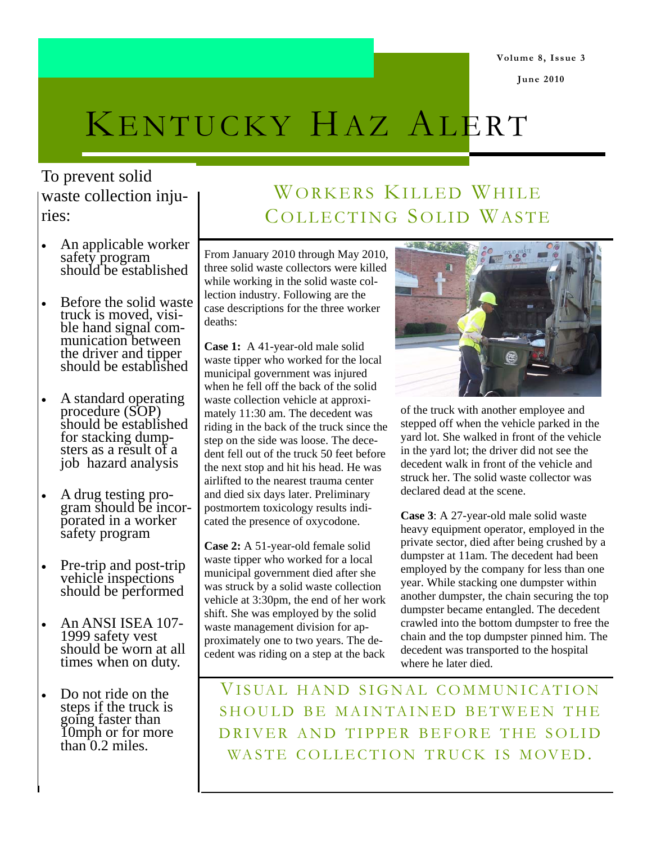**Volume 8, Issue 3** 

**June 2010** 

# KENTUCKY HAZ ALERT

To prevent solid waste collection injuries:

- An applicable worker safety program should be established
- Before the solid waste truck is moved, visible hand signal communication between the driver and tipper should be established
- A standard operating procedure (SOP) should be established for stacking dumpsters as a result of a job hazard analysis
- A drug testing program should be incorporated in a worker safety program
- Pre-trip and post-trip vehicle inspections should be performed
- An ANSI ISEA 107- 1999 safety vest should be worn at all times when on duty.
- Do not ride on the steps if the truck is going faster than 10mph or for more than 0.2 miles.

# WORKERS KILLED WHILE COLLECTING SOLID WASTE

From January 2010 through May 2010, three solid waste collectors were killed while working in the solid waste collection industry. Following are the case descriptions for the three worker deaths:

**Case 1:** A 41-year-old male solid waste tipper who worked for the local municipal government was injured when he fell off the back of the solid waste collection vehicle at approximately 11:30 am. The decedent was riding in the back of the truck since the step on the side was loose. The decedent fell out of the truck 50 feet before the next stop and hit his head. He was airlifted to the nearest trauma center and died six days later. Preliminary postmortem toxicology results indicated the presence of oxycodone.

**Case 2:** A 51-year-old female solid waste tipper who worked for a local municipal government died after she was struck by a solid waste collection vehicle at 3:30pm, the end of her work shift. She was employed by the solid waste management division for approximately one to two years. The decedent was riding on a step at the back



of the truck with another employee and stepped off when the vehicle parked in the yard lot. She walked in front of the vehicle in the yard lot; the driver did not see the decedent walk in front of the vehicle and struck her. The solid waste collector was declared dead at the scene.

**Case 3**: A 27-year-old male solid waste heavy equipment operator, employed in the private sector, died after being crushed by a dumpster at 11am. The decedent had been employed by the company for less than one year. While stacking one dumpster within another dumpster, the chain securing the top dumpster became entangled. The decedent crawled into the bottom dumpster to free the chain and the top dumpster pinned him. The decedent was transported to the hospital where he later died.

VISUAL HAND SIGNAL COMMUNICATION SHOULD BE MAINTAINED BETWEEN THE DRIVER AND TIPPER BEFORE THE SOLID WASTE COLLECTION TRUCK IS MOVED.